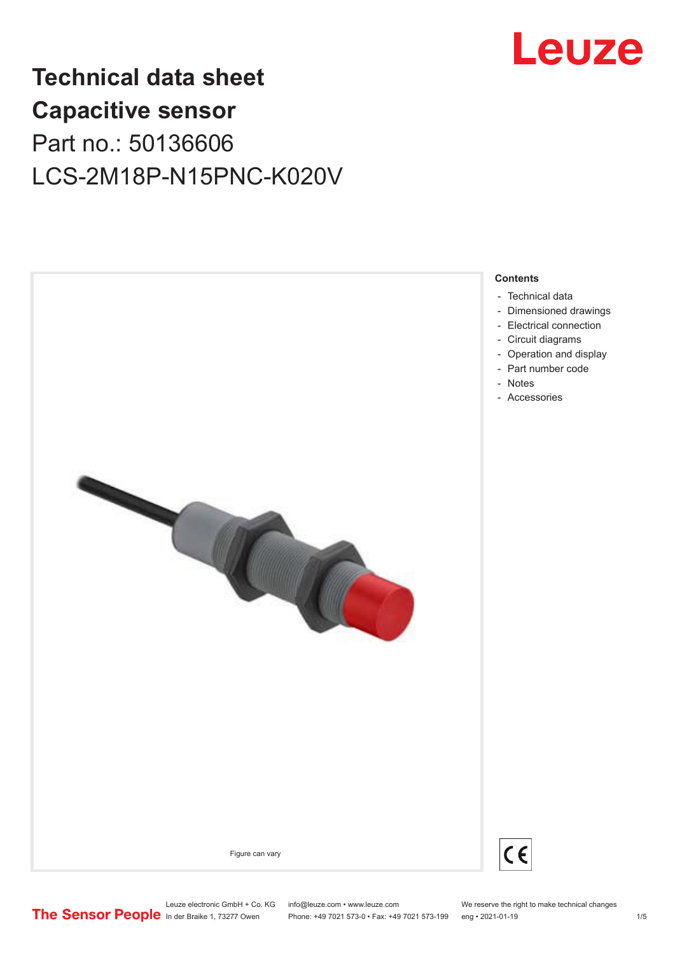

## **Technical data sheet Capacitive sensor** Part no.: 50136606 LCS-2M18P-N15PNC-K020V

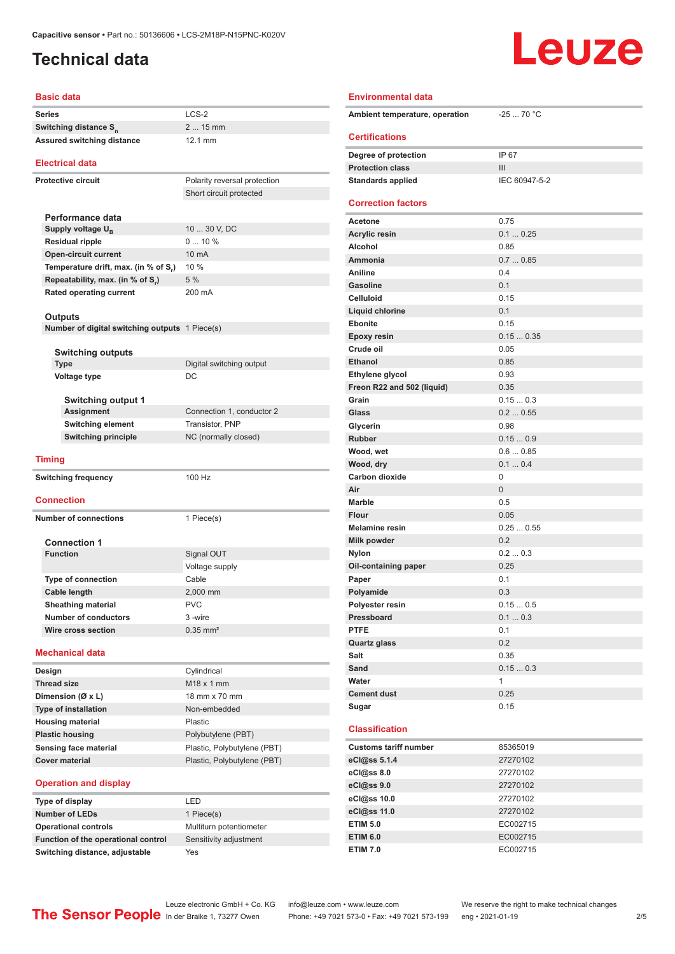### <span id="page-1-0"></span>**Technical data**

# Leuze

| <b>Basic data</b>                                         |                                                   |  |  |
|-----------------------------------------------------------|---------------------------------------------------|--|--|
| <b>Series</b>                                             | $LCS-2$                                           |  |  |
| Switching distance S <sub>n</sub>                         | $215$ mm                                          |  |  |
| <b>Assured switching distance</b>                         | 12.1 mm                                           |  |  |
| <b>Electrical data</b>                                    |                                                   |  |  |
|                                                           |                                                   |  |  |
| <b>Protective circuit</b>                                 | Polarity reversal protection                      |  |  |
|                                                           | Short circuit protected                           |  |  |
| Performance data                                          |                                                   |  |  |
|                                                           | 10  30 V, DC                                      |  |  |
| Supply voltage U <sub>B</sub>                             |                                                   |  |  |
| <b>Residual ripple</b>                                    | 010%                                              |  |  |
| <b>Open-circuit current</b>                               | 10 mA                                             |  |  |
| Temperature drift, max. (in % of S,)                      | 10 %                                              |  |  |
| Repeatability, max. (in % of S.)                          | 5 %                                               |  |  |
| <b>Rated operating current</b>                            | 200 mA                                            |  |  |
|                                                           |                                                   |  |  |
| Outputs<br>Number of digital switching outputs 1 Piece(s) |                                                   |  |  |
|                                                           |                                                   |  |  |
| Switching outputs                                         |                                                   |  |  |
| <b>Type</b>                                               | Digital switching output                          |  |  |
| Voltage type                                              | DC                                                |  |  |
|                                                           |                                                   |  |  |
| <b>Switching output 1</b>                                 |                                                   |  |  |
| Assignment                                                | Connection 1, conductor 2                         |  |  |
| <b>Switching element</b>                                  | <b>Transistor, PNP</b>                            |  |  |
| <b>Switching principle</b>                                | NC (normally closed)                              |  |  |
|                                                           |                                                   |  |  |
| <b>Timing</b>                                             |                                                   |  |  |
| <b>Switching frequency</b>                                | 100 Hz                                            |  |  |
|                                                           |                                                   |  |  |
| <b>Connection</b>                                         |                                                   |  |  |
| <b>Number of connections</b>                              | 1 Piece(s)                                        |  |  |
|                                                           |                                                   |  |  |
| <b>Connection 1</b>                                       |                                                   |  |  |
| <b>Function</b>                                           | Signal OUT                                        |  |  |
|                                                           | Voltage supply                                    |  |  |
| <b>Type of connection</b>                                 | Cable                                             |  |  |
| <b>Cable length</b>                                       | 2,000 mm                                          |  |  |
| <b>Sheathing material</b>                                 | <b>PVC</b>                                        |  |  |
| <b>Number of conductors</b>                               | 3-wire                                            |  |  |
| Wire cross section                                        | $0.35$ mm <sup>2</sup>                            |  |  |
| <b>Mechanical data</b>                                    |                                                   |  |  |
| Design                                                    | Cylindrical                                       |  |  |
| <b>Thread size</b>                                        | M18 x 1 mm                                        |  |  |
| Dimension (Ø x L)                                         | 18 mm x 70 mm                                     |  |  |
| Type of installation                                      | Non-embedded                                      |  |  |
| <b>Housing material</b>                                   | Plastic                                           |  |  |
| <b>Plastic housing</b>                                    |                                                   |  |  |
| Sensing face material                                     | Polybutylene (PBT)<br>Plastic, Polybutylene (PBT) |  |  |
|                                                           |                                                   |  |  |

### **Operation and display**

| Type of display                     | I FD                    |
|-------------------------------------|-------------------------|
| <b>Number of LEDs</b>               | 1 Piece(s)              |
| <b>Operational controls</b>         | Multiturn potentiometer |
| Function of the operational control | Sensitivity adjustment  |
| Switching distance, adjustable      | Yes                     |

| I FD                    |  |
|-------------------------|--|
| 1 Piece(s)              |  |
| Multiturn potentiometer |  |
| Sensitivity adjustment  |  |
|                         |  |

| <b>Environmental data</b>      |                |  |  |
|--------------------------------|----------------|--|--|
| Ambient temperature, operation | $-2570 °C$     |  |  |
| <b>Certifications</b>          |                |  |  |
| Degree of protection           | IP 67          |  |  |
| <b>Protection class</b>        | Ш              |  |  |
| <b>Standards applied</b>       | IEC 60947-5-2  |  |  |
| <b>Correction factors</b>      |                |  |  |
| Acetone                        | 0.75           |  |  |
| <b>Acrylic resin</b>           | 0.10.25        |  |  |
| Alcohol                        | 0.85           |  |  |
| Ammonia                        | 0.70.85        |  |  |
| Aniline                        | 0.4            |  |  |
| <b>Gasoline</b>                | 0.1            |  |  |
| <b>Celluloid</b>               | 0.15           |  |  |
| <b>Liquid chlorine</b>         | 0.1            |  |  |
| Ebonite                        | 0.15           |  |  |
| <b>Epoxy resin</b>             | 0.150.35       |  |  |
| Crude oil                      | 0.05           |  |  |
| <b>Ethanol</b>                 | 0.85           |  |  |
| Ethylene glycol                | 0.93           |  |  |
| Freon R22 and 502 (liquid)     | 0.35           |  |  |
| Grain                          | 0.150.3        |  |  |
| Glass                          | 0.20.55        |  |  |
| Glycerin                       | 0.98           |  |  |
| <b>Rubber</b>                  | 0.150.9        |  |  |
| Wood, wet                      | 0.60.85        |  |  |
| Wood, dry                      | 0.10.4         |  |  |
| <b>Carbon dioxide</b>          | 0              |  |  |
| Air                            | 0              |  |  |
| Marble                         | 0.5            |  |  |
| <b>Flour</b>                   | 0.05           |  |  |
| <b>Melamine resin</b>          | 0.250.55       |  |  |
| <b>Milk powder</b>             | 0.2            |  |  |
| <b>Nylon</b>                   | 0.20.3         |  |  |
| Oil-containing paper           | 0.25           |  |  |
| Paper                          | 0.1            |  |  |
| Polyamide<br>Polyester resin   | 0.3<br>0.150.5 |  |  |
| Pressboard                     | 0.10.3         |  |  |
| <b>PTFE</b>                    | 0.1            |  |  |
| <b>Quartz glass</b>            | 0.2            |  |  |
| Salt                           | 0.35           |  |  |
| Sand                           | 0.150.3        |  |  |
| Water                          | 1              |  |  |
| <b>Cement dust</b>             | 0.25           |  |  |
| Sugar                          | 0.15           |  |  |
|                                |                |  |  |
| <b>Classification</b>          |                |  |  |
| <b>Customs tariff number</b>   | 85365019       |  |  |
| eCl@ss 5.1.4                   | 27270102       |  |  |
| eCl@ss 8.0                     | 27270102       |  |  |
| eCl@ss 9.0                     | 27270102       |  |  |
| eCl@ss 10.0                    | 27270102       |  |  |
| eCl@ss 11.0                    | 27270102       |  |  |
| <b>ETIM 5.0</b>                | EC002715       |  |  |

Leuze electronic GmbH + Co. KG info@leuze.com • www.leuze.com We reserve the right to make technical changes<br>
The Sensor People in der Braike 1, 73277 Owen Phone: +49 7021 573-0 • Fax: +49 7021 573-199 eng • 2021-01-19

**Cover material Cover material** Plastic, Polybutylene (PBT)

Phone: +49 7021 573-0 • Fax: +49 7021 573-199 eng • 2021-01-19

**ETIM 6.0** EC002715 **ETIM 7.0** EC002715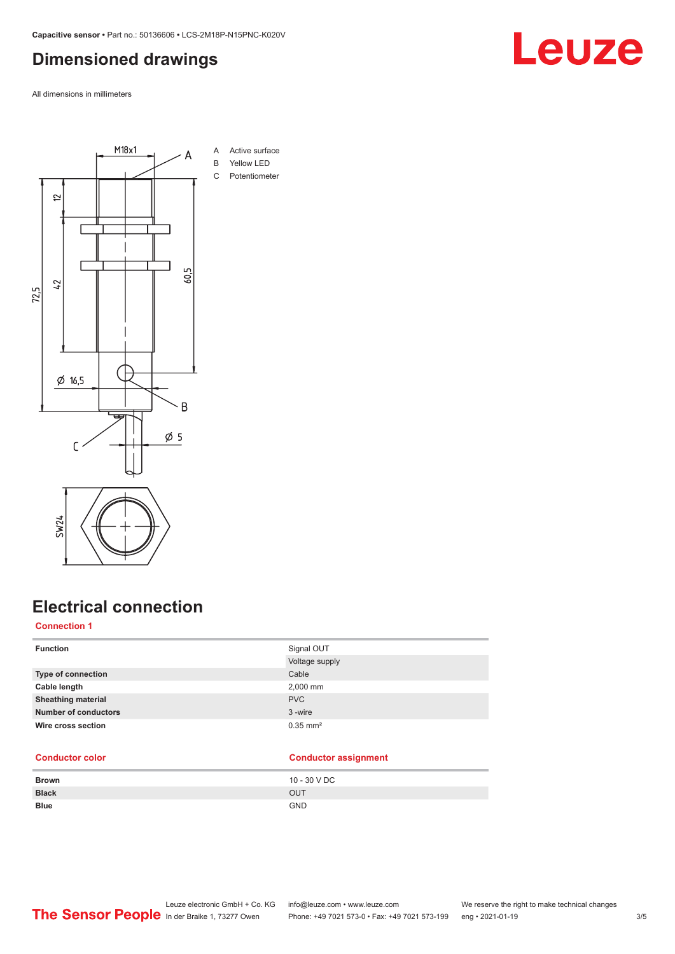### <span id="page-2-0"></span>**Dimensioned drawings**

All dimensions in millimeters



### **Electrical connection**

### **Connection 1**

| <b>Function</b>             | Signal OUT             |
|-----------------------------|------------------------|
|                             | Voltage supply         |
| Type of connection          | Cable                  |
| Cable length                | 2,000 mm               |
| <b>Sheathing material</b>   | <b>PVC</b>             |
| <b>Number of conductors</b> | 3-wire                 |
| Wire cross section          | $0.35$ mm <sup>2</sup> |
|                             |                        |

#### **Conductor color Conductor assignment**

| <b>Brown</b> | 10 - 30 V DC |
|--------------|--------------|
| <b>Black</b> | <b>OUT</b>   |
| <b>Blue</b>  | <b>GND</b>   |

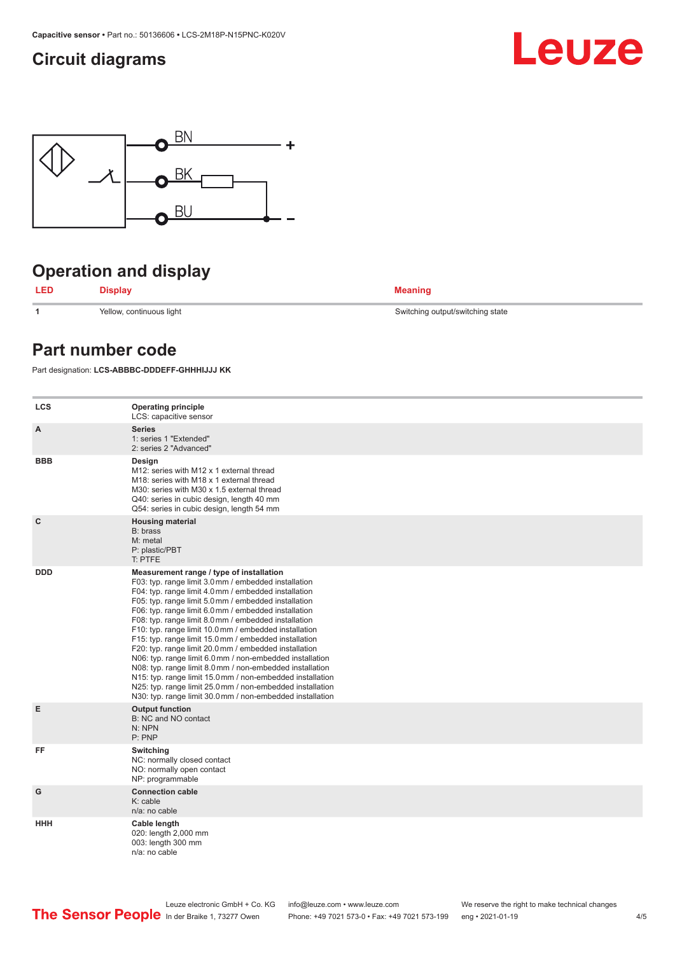### <span id="page-3-0"></span>**Circuit diagrams**





### **Operation and display**



**1** Yellow, continuous light Switching output/switching state

### **Part number code**

Part designation: **LCS-ABBBC-DDDEFF-GHHHIJJJ KK**

| <b>LCS</b> | <b>Operating principle</b><br>LCS: capacitive sensor                                                                                                                                                                                                                                                                                                                                                                                                                                                                                                                                                                                                                                                                                                                                                                       |
|------------|----------------------------------------------------------------------------------------------------------------------------------------------------------------------------------------------------------------------------------------------------------------------------------------------------------------------------------------------------------------------------------------------------------------------------------------------------------------------------------------------------------------------------------------------------------------------------------------------------------------------------------------------------------------------------------------------------------------------------------------------------------------------------------------------------------------------------|
| A          | <b>Series</b><br>1: series 1 "Extended"<br>2: series 2 "Advanced"                                                                                                                                                                                                                                                                                                                                                                                                                                                                                                                                                                                                                                                                                                                                                          |
| <b>BBB</b> | Design<br>M12: series with M12 x 1 external thread<br>M <sub>18</sub> : series with M <sub>18</sub> x 1 external thread<br>M30: series with M30 x 1.5 external thread<br>Q40: series in cubic design, length 40 mm<br>Q54: series in cubic design, length 54 mm                                                                                                                                                                                                                                                                                                                                                                                                                                                                                                                                                            |
| C          | <b>Housing material</b><br>B: brass<br>M: metal<br>P: plastic/PBT<br>T: PTFE                                                                                                                                                                                                                                                                                                                                                                                                                                                                                                                                                                                                                                                                                                                                               |
| <b>DDD</b> | Measurement range / type of installation<br>F03: typ. range limit 3.0 mm / embedded installation<br>F04: typ. range limit 4.0 mm / embedded installation<br>F05: typ. range limit 5.0 mm / embedded installation<br>F06: typ. range limit 6.0 mm / embedded installation<br>F08: typ. range limit 8.0 mm / embedded installation<br>F10: typ. range limit 10.0 mm / embedded installation<br>F15: typ. range limit 15.0 mm / embedded installation<br>F20: typ. range limit 20.0 mm / embedded installation<br>N06: typ. range limit 6.0 mm / non-embedded installation<br>N08: typ. range limit 8.0 mm / non-embedded installation<br>N15: typ. range limit 15.0 mm / non-embedded installation<br>N25: typ. range limit 25.0 mm / non-embedded installation<br>N30: typ. range limit 30.0 mm / non-embedded installation |
| E          | <b>Output function</b><br>B: NC and NO contact<br>N: NPN<br>P: PNP                                                                                                                                                                                                                                                                                                                                                                                                                                                                                                                                                                                                                                                                                                                                                         |
| FF         | Switching<br>NC: normally closed contact<br>NO: normally open contact<br>NP: programmable                                                                                                                                                                                                                                                                                                                                                                                                                                                                                                                                                                                                                                                                                                                                  |
| G          | <b>Connection cable</b><br>$K:$ cable<br>n/a: no cable                                                                                                                                                                                                                                                                                                                                                                                                                                                                                                                                                                                                                                                                                                                                                                     |
| <b>HHH</b> | Cable length<br>020: length 2,000 mm<br>003: length 300 mm<br>n/a: no cable                                                                                                                                                                                                                                                                                                                                                                                                                                                                                                                                                                                                                                                                                                                                                |